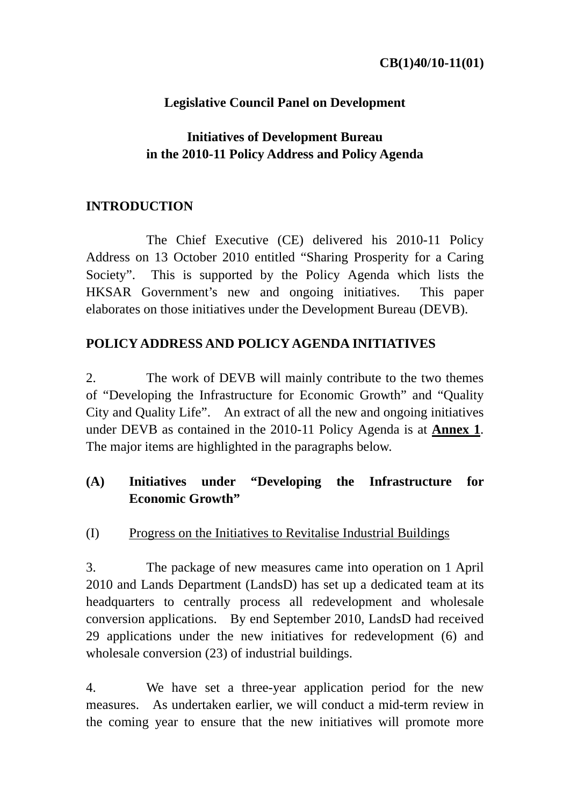## **Legislative Council Panel on Development**

## **Initiatives of Development Bureau in the 2010-11 Policy Address and Policy Agenda**

## **INTRODUCTION**

 The Chief Executive (CE) delivered his 2010-11 Policy Address on 13 October 2010 entitled "Sharing Prosperity for a Caring Society". This is supported by the Policy Agenda which lists the HKSAR Government's new and ongoing initiatives. This paper elaborates on those initiatives under the Development Bureau (DEVB).

### **POLICY ADDRESS AND POLICY AGENDA INITIATIVES**

2. The work of DEVB will mainly contribute to the two themes of "Developing the Infrastructure for Economic Growth" and "Quality City and Quality Life". An extract of all the new and ongoing initiatives under DEVB as contained in the 2010-11 Policy Agenda is at **Annex 1**. The major items are highlighted in the paragraphs below.

## **(A) Initiatives under "Developing the Infrastructure for Economic Growth"**

(I) Progress on the Initiatives to Revitalise Industrial Buildings

3. The package of new measures came into operation on 1 April 2010 and Lands Department (LandsD) has set up a dedicated team at its headquarters to centrally process all redevelopment and wholesale conversion applications. By end September 2010, LandsD had received 29 applications under the new initiatives for redevelopment (6) and wholesale conversion (23) of industrial buildings.

4. We have set a three-year application period for the new measures. As undertaken earlier, we will conduct a mid-term review in the coming year to ensure that the new initiatives will promote more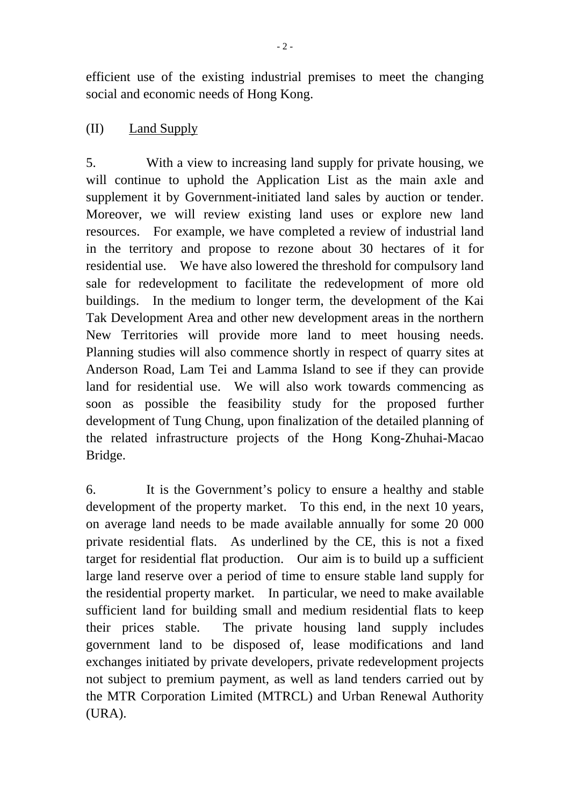efficient use of the existing industrial premises to meet the changing social and economic needs of Hong Kong.

### (II) Land Supply

5. With a view to increasing land supply for private housing, we will continue to uphold the Application List as the main axle and supplement it by Government-initiated land sales by auction or tender. Moreover, we will review existing land uses or explore new land resources. For example, we have completed a review of industrial land in the territory and propose to rezone about 30 hectares of it for residential use. We have also lowered the threshold for compulsory land sale for redevelopment to facilitate the redevelopment of more old buildings. In the medium to longer term, the development of the Kai Tak Development Area and other new development areas in the northern New Territories will provide more land to meet housing needs. Planning studies will also commence shortly in respect of quarry sites at Anderson Road, Lam Tei and Lamma Island to see if they can provide land for residential use. We will also work towards commencing as soon as possible the feasibility study for the proposed further development of Tung Chung, upon finalization of the detailed planning of the related infrastructure projects of the Hong Kong-Zhuhai-Macao Bridge.

6. It is the Government's policy to ensure a healthy and stable development of the property market. To this end, in the next 10 years, on average land needs to be made available annually for some 20 000 private residential flats. As underlined by the CE, this is not a fixed target for residential flat production. Our aim is to build up a sufficient large land reserve over a period of time to ensure stable land supply for the residential property market. In particular, we need to make available sufficient land for building small and medium residential flats to keep their prices stable. The private housing land supply includes government land to be disposed of, lease modifications and land exchanges initiated by private developers, private redevelopment projects not subject to premium payment, as well as land tenders carried out by the MTR Corporation Limited (MTRCL) and Urban Renewal Authority (URA).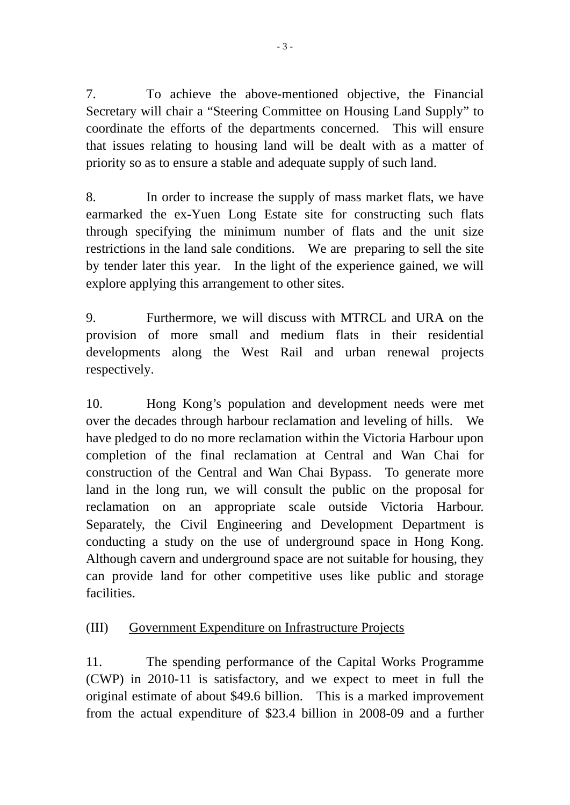7. To achieve the above-mentioned objective, the Financial Secretary will chair a "Steering Committee on Housing Land Supply" to coordinate the efforts of the departments concerned. This will ensure that issues relating to housing land will be dealt with as a matter of priority so as to ensure a stable and adequate supply of such land.

8. In order to increase the supply of mass market flats, we have earmarked the ex-Yuen Long Estate site for constructing such flats through specifying the minimum number of flats and the unit size restrictions in the land sale conditions. We are preparing to sell the site by tender later this year. In the light of the experience gained, we will explore applying this arrangement to other sites.

9. Furthermore, we will discuss with MTRCL and URA on the provision of more small and medium flats in their residential developments along the West Rail and urban renewal projects respectively.

10. Hong Kong's population and development needs were met over the decades through harbour reclamation and leveling of hills. We have pledged to do no more reclamation within the Victoria Harbour upon completion of the final reclamation at Central and Wan Chai for construction of the Central and Wan Chai Bypass. To generate more land in the long run, we will consult the public on the proposal for reclamation on an appropriate scale outside Victoria Harbour. Separately, the Civil Engineering and Development Department is conducting a study on the use of underground space in Hong Kong. Although cavern and underground space are not suitable for housing, they can provide land for other competitive uses like public and storage **facilities** 

## (III) Government Expenditure on Infrastructure Projects

11. The spending performance of the Capital Works Programme (CWP) in 2010-11 is satisfactory, and we expect to meet in full the original estimate of about \$49.6 billion. This is a marked improvement from the actual expenditure of \$23.4 billion in 2008-09 and a further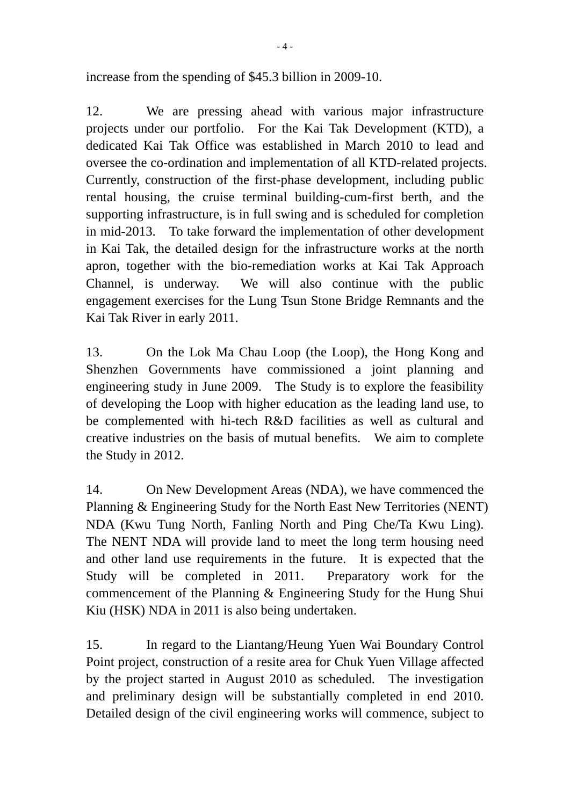increase from the spending of \$45.3 billion in 2009-10.

12. We are pressing ahead with various major infrastructure projects under our portfolio. For the Kai Tak Development (KTD), a dedicated Kai Tak Office was established in March 2010 to lead and oversee the co-ordination and implementation of all KTD-related projects. Currently, construction of the first-phase development, including public rental housing, the cruise terminal building-cum-first berth, and the supporting infrastructure, is in full swing and is scheduled for completion in mid-2013. To take forward the implementation of other development in Kai Tak, the detailed design for the infrastructure works at the north apron, together with the bio-remediation works at Kai Tak Approach Channel, is underway. We will also continue with the public engagement exercises for the Lung Tsun Stone Bridge Remnants and the Kai Tak River in early 2011.

13. On the Lok Ma Chau Loop (the Loop), the Hong Kong and Shenzhen Governments have commissioned a joint planning and engineering study in June 2009. The Study is to explore the feasibility of developing the Loop with higher education as the leading land use, to be complemented with hi-tech R&D facilities as well as cultural and creative industries on the basis of mutual benefits. We aim to complete the Study in 2012.

14. On New Development Areas (NDA), we have commenced the Planning & Engineering Study for the North East New Territories (NENT) NDA (Kwu Tung North, Fanling North and Ping Che/Ta Kwu Ling). The NENT NDA will provide land to meet the long term housing need and other land use requirements in the future. It is expected that the Study will be completed in 2011. Preparatory work for the commencement of the Planning & Engineering Study for the Hung Shui Kiu (HSK) NDA in 2011 is also being undertaken.

15. In regard to the Liantang/Heung Yuen Wai Boundary Control Point project, construction of a resite area for Chuk Yuen Village affected by the project started in August 2010 as scheduled. The investigation and preliminary design will be substantially completed in end 2010. Detailed design of the civil engineering works will commence, subject to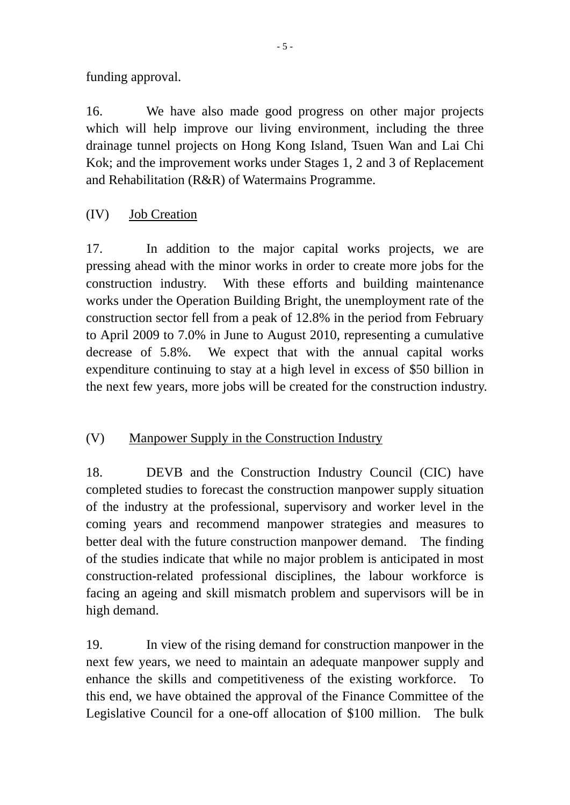funding approval.

16. We have also made good progress on other major projects which will help improve our living environment, including the three drainage tunnel projects on Hong Kong Island, Tsuen Wan and Lai Chi Kok; and the improvement works under Stages 1, 2 and 3 of Replacement and Rehabilitation (R&R) of Watermains Programme.

(IV) Job Creation

17. In addition to the major capital works projects, we are pressing ahead with the minor works in order to create more jobs for the construction industry. With these efforts and building maintenance works under the Operation Building Bright, the unemployment rate of the construction sector fell from a peak of 12.8% in the period from February to April 2009 to 7.0% in June to August 2010, representing a cumulative decrease of 5.8%. We expect that with the annual capital works expenditure continuing to stay at a high level in excess of \$50 billion in the next few years, more jobs will be created for the construction industry.

(V) Manpower Supply in the Construction Industry

18. DEVB and the Construction Industry Council (CIC) have completed studies to forecast the construction manpower supply situation of the industry at the professional, supervisory and worker level in the coming years and recommend manpower strategies and measures to better deal with the future construction manpower demand. The finding of the studies indicate that while no major problem is anticipated in most construction-related professional disciplines, the labour workforce is facing an ageing and skill mismatch problem and supervisors will be in high demand.

19. In view of the rising demand for construction manpower in the next few years, we need to maintain an adequate manpower supply and enhance the skills and competitiveness of the existing workforce. To this end, we have obtained the approval of the Finance Committee of the Legislative Council for a one-off allocation of \$100 million. The bulk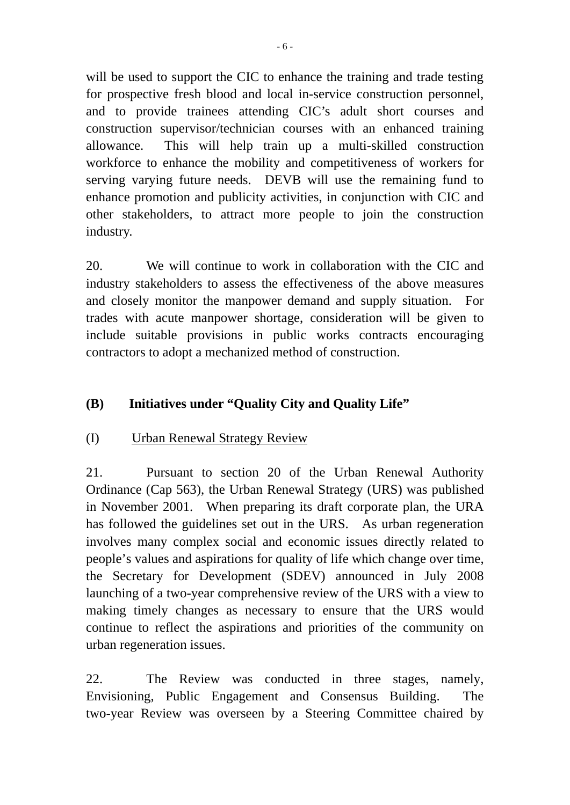will be used to support the CIC to enhance the training and trade testing for prospective fresh blood and local in-service construction personnel, and to provide trainees attending CIC's adult short courses and construction supervisor/technician courses with an enhanced training allowance. This will help train up a multi-skilled construction workforce to enhance the mobility and competitiveness of workers for serving varying future needs. DEVB will use the remaining fund to enhance promotion and publicity activities, in conjunction with CIC and other stakeholders, to attract more people to join the construction industry.

20. We will continue to work in collaboration with the CIC and industry stakeholders to assess the effectiveness of the above measures and closely monitor the manpower demand and supply situation. For trades with acute manpower shortage, consideration will be given to include suitable provisions in public works contracts encouraging contractors to adopt a mechanized method of construction.

## **(B) Initiatives under "Quality City and Quality Life"**

### (I) Urban Renewal Strategy Review

21. Pursuant to section 20 of the Urban Renewal Authority Ordinance (Cap 563), the Urban Renewal Strategy (URS) was published in November 2001. When preparing its draft corporate plan, the URA has followed the guidelines set out in the URS. As urban regeneration involves many complex social and economic issues directly related to people's values and aspirations for quality of life which change over time, the Secretary for Development (SDEV) announced in July 2008 launching of a two-year comprehensive review of the URS with a view to making timely changes as necessary to ensure that the URS would continue to reflect the aspirations and priorities of the community on urban regeneration issues.

22. The Review was conducted in three stages, namely, Envisioning, Public Engagement and Consensus Building. The two-year Review was overseen by a Steering Committee chaired by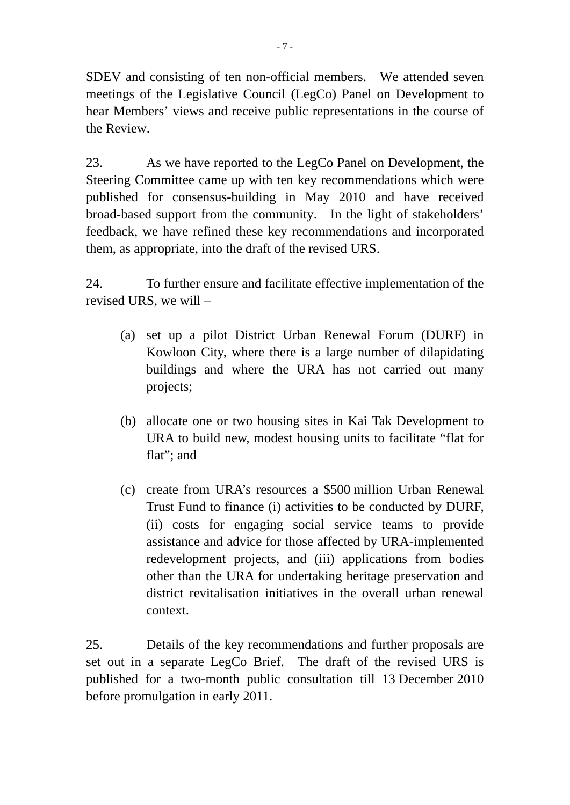SDEV and consisting of ten non-official members. We attended seven meetings of the Legislative Council (LegCo) Panel on Development to hear Members' views and receive public representations in the course of the Review.

23. As we have reported to the LegCo Panel on Development, the Steering Committee came up with ten key recommendations which were published for consensus-building in May 2010 and have received broad-based support from the community. In the light of stakeholders' feedback, we have refined these key recommendations and incorporated them, as appropriate, into the draft of the revised URS.

24. To further ensure and facilitate effective implementation of the revised URS, we will –

- (a) set up a pilot District Urban Renewal Forum (DURF) in Kowloon City, where there is a large number of dilapidating buildings and where the URA has not carried out many projects;
- (b) allocate one or two housing sites in Kai Tak Development to URA to build new, modest housing units to facilitate "flat for flat": and
- (c) create from URA's resources a \$500 million Urban Renewal Trust Fund to finance (i) activities to be conducted by DURF, (ii) costs for engaging social service teams to provide assistance and advice for those affected by URA-implemented redevelopment projects, and (iii) applications from bodies other than the URA for undertaking heritage preservation and district revitalisation initiatives in the overall urban renewal context.

25. Details of the key recommendations and further proposals are set out in a separate LegCo Brief. The draft of the revised URS is published for a two-month public consultation till 13 December 2010 before promulgation in early 2011.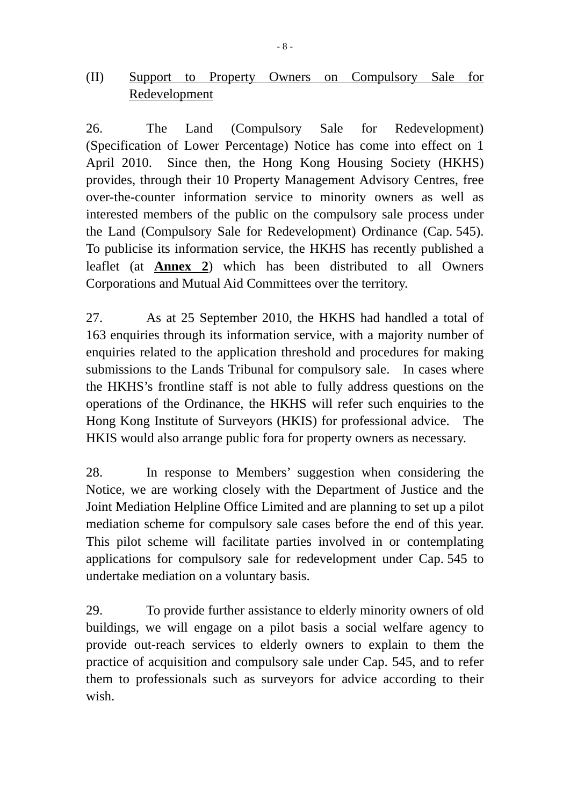## (II) Support to Property Owners on Compulsory Sale for Redevelopment

26. The Land (Compulsory Sale for Redevelopment) (Specification of Lower Percentage) Notice has come into effect on 1 April 2010. Since then, the Hong Kong Housing Society (HKHS) provides, through their 10 Property Management Advisory Centres, free over-the-counter information service to minority owners as well as interested members of the public on the compulsory sale process under the Land (Compulsory Sale for Redevelopment) Ordinance (Cap. 545). To publicise its information service, the HKHS has recently published a leaflet (at **Annex 2**) which has been distributed to all Owners Corporations and Mutual Aid Committees over the territory.

27. As at 25 September 2010, the HKHS had handled a total of 163 enquiries through its information service, with a majority number of enquiries related to the application threshold and procedures for making submissions to the Lands Tribunal for compulsory sale. In cases where the HKHS's frontline staff is not able to fully address questions on the operations of the Ordinance, the HKHS will refer such enquiries to the Hong Kong Institute of Surveyors (HKIS) for professional advice. The HKIS would also arrange public fora for property owners as necessary.

28. In response to Members' suggestion when considering the Notice, we are working closely with the Department of Justice and the Joint Mediation Helpline Office Limited and are planning to set up a pilot mediation scheme for compulsory sale cases before the end of this year. This pilot scheme will facilitate parties involved in or contemplating applications for compulsory sale for redevelopment under Cap. 545 to undertake mediation on a voluntary basis.

29. To provide further assistance to elderly minority owners of old buildings, we will engage on a pilot basis a social welfare agency to provide out-reach services to elderly owners to explain to them the practice of acquisition and compulsory sale under Cap. 545, and to refer them to professionals such as surveyors for advice according to their wish.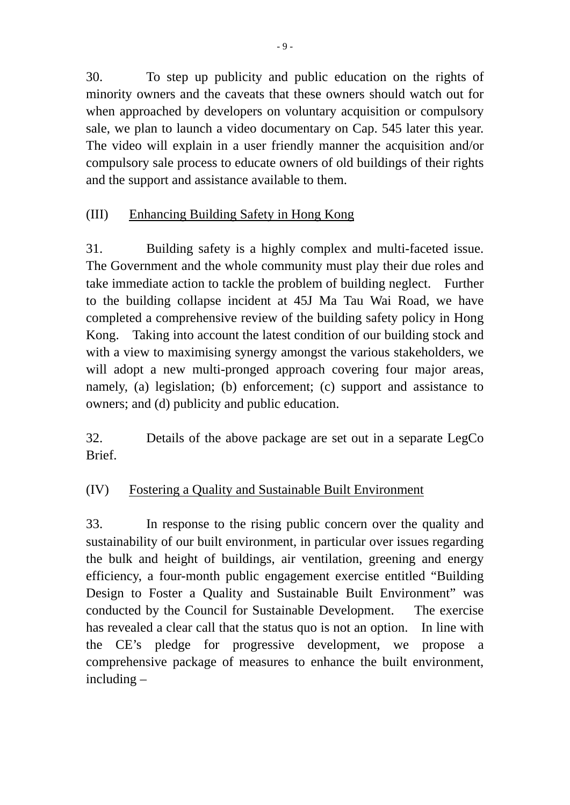30. To step up publicity and public education on the rights of minority owners and the caveats that these owners should watch out for when approached by developers on voluntary acquisition or compulsory sale, we plan to launch a video documentary on Cap. 545 later this year. The video will explain in a user friendly manner the acquisition and/or compulsory sale process to educate owners of old buildings of their rights and the support and assistance available to them.

# (III) Enhancing Building Safety in Hong Kong

31. Building safety is a highly complex and multi-faceted issue. The Government and the whole community must play their due roles and take immediate action to tackle the problem of building neglect. Further to the building collapse incident at 45J Ma Tau Wai Road, we have completed a comprehensive review of the building safety policy in Hong Kong. Taking into account the latest condition of our building stock and with a view to maximising synergy amongst the various stakeholders, we will adopt a new multi-pronged approach covering four major areas, namely, (a) legislation; (b) enforcement; (c) support and assistance to owners; and (d) publicity and public education.

32. Details of the above package are set out in a separate LegCo **Brief** 

# (IV) Fostering a Quality and Sustainable Built Environment

33. In response to the rising public concern over the quality and sustainability of our built environment, in particular over issues regarding the bulk and height of buildings, air ventilation, greening and energy efficiency, a four-month public engagement exercise entitled "Building Design to Foster a Quality and Sustainable Built Environment" was conducted by the Council for Sustainable Development. The exercise has revealed a clear call that the status quo is not an option. In line with the CE's pledge for progressive development, we propose a comprehensive package of measures to enhance the built environment, including –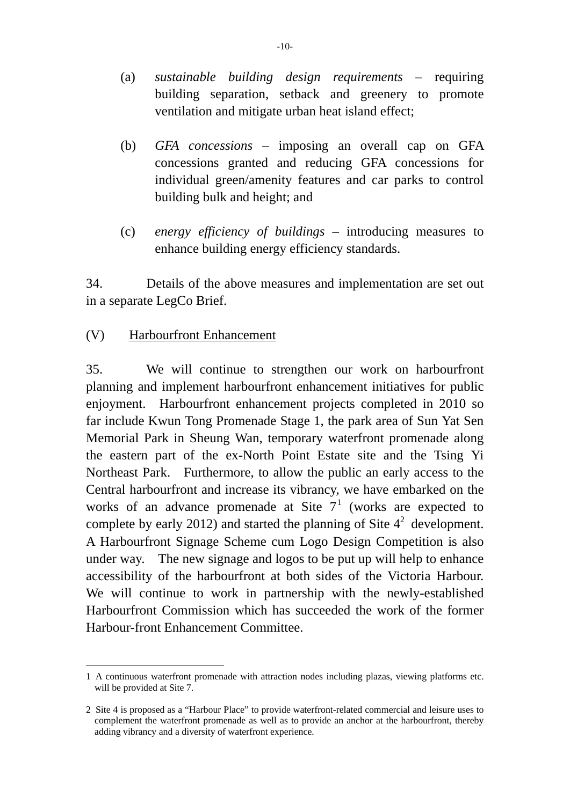- (a) *sustainable building design requirements* requiring building separation, setback and greenery to promote ventilation and mitigate urban heat island effect;
- (b) *GFA concessions* imposing an overall cap on GFA concessions granted and reducing GFA concessions for individual green/amenity features and car parks to control building bulk and height; and
- (c) *energy efficiency of buildings* introducing measures to enhance building energy efficiency standards.

34. Details of the above measures and implementation are set out in a separate LegCo Brief.

## (V) Harbourfront Enhancement

35. We will continue to strengthen our work on harbourfront planning and implement harbourfront enhancement initiatives for public enjoyment. Harbourfront enhancement projects completed in 2010 so far include Kwun Tong Promenade Stage 1, the park area of Sun Yat Sen Memorial Park in Sheung Wan, temporary waterfront promenade along the eastern part of the ex-North Point Estate site and the Tsing Yi Northeast Park. Furthermore, to allow the public an early access to the Central harbourfront and increase its vibrancy, we have embarked on the works of an advance promenade at Site  $7<sup>1</sup>$  (works are expected to complete by early 2012) and started the planning of Site  $4^2$  development. A Harbourfront Signage Scheme cum Logo Design Competition is also under way. The new signage and logos to be put up will help to enhance accessibility of the harbourfront at both sides of the Victoria Harbour. We will continue to work in partnership with the newly-established Harbourfront Commission which has succeeded the work of the former Harbour-front Enhancement Committee.

 $\overline{a}$ 1 A continuous waterfront promenade with attraction nodes including plazas, viewing platforms etc. will be provided at Site 7.

<sup>2</sup> Site 4 is proposed as a "Harbour Place" to provide waterfront-related commercial and leisure uses to complement the waterfront promenade as well as to provide an anchor at the harbourfront, thereby adding vibrancy and a diversity of waterfront experience.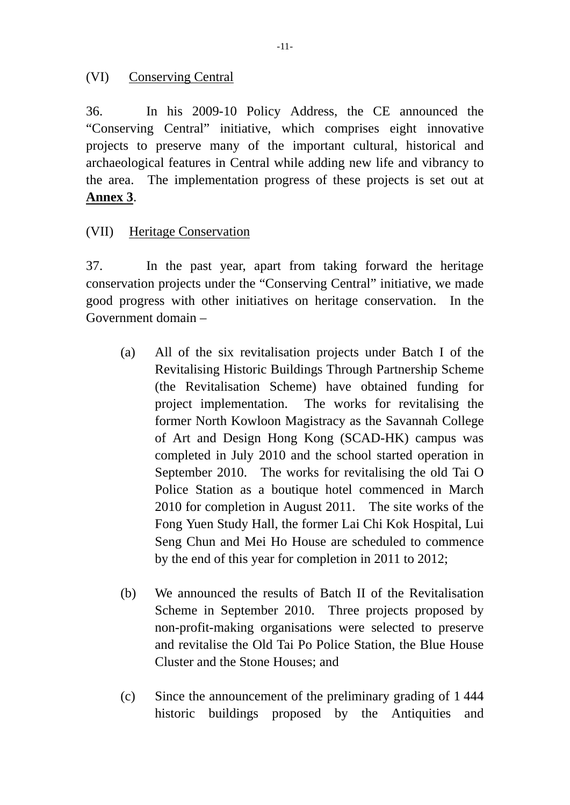### (VI) Conserving Central

36. In his 2009-10 Policy Address, the CE announced the "Conserving Central" initiative, which comprises eight innovative projects to preserve many of the important cultural, historical and archaeological features in Central while adding new life and vibrancy to the area. The implementation progress of these projects is set out at **Annex 3**.

## (VII) Heritage Conservation

37. In the past year, apart from taking forward the heritage conservation projects under the "Conserving Central" initiative, we made good progress with other initiatives on heritage conservation. In the Government domain –

- (a) All of the six revitalisation projects under Batch I of the Revitalising Historic Buildings Through Partnership Scheme (the Revitalisation Scheme) have obtained funding for project implementation. The works for revitalising the former North Kowloon Magistracy as the Savannah College of Art and Design Hong Kong (SCAD-HK) campus was completed in July 2010 and the school started operation in September 2010. The works for revitalising the old Tai O Police Station as a boutique hotel commenced in March 2010 for completion in August 2011. The site works of the Fong Yuen Study Hall, the former Lai Chi Kok Hospital, Lui Seng Chun and Mei Ho House are scheduled to commence by the end of this year for completion in 2011 to 2012;
- (b) We announced the results of Batch II of the Revitalisation Scheme in September 2010. Three projects proposed by non-profit-making organisations were selected to preserve and revitalise the Old Tai Po Police Station, the Blue House Cluster and the Stone Houses; and
- (c) Since the announcement of the preliminary grading of 1 444 historic buildings proposed by the Antiquities and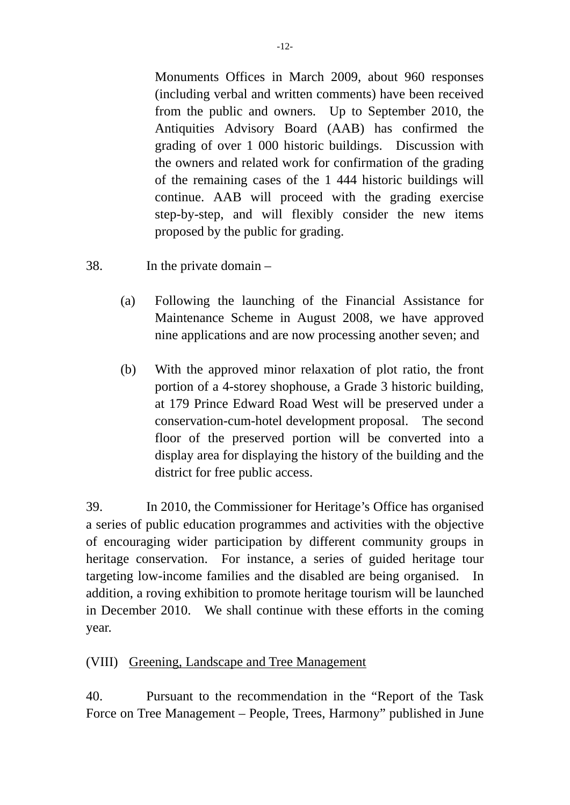Monuments Offices in March 2009, about 960 responses (including verbal and written comments) have been received from the public and owners. Up to September 2010, the Antiquities Advisory Board (AAB) has confirmed the grading of over 1 000 historic buildings. Discussion with the owners and related work for confirmation of the grading of the remaining cases of the 1 444 historic buildings will continue. AAB will proceed with the grading exercise step-by-step, and will flexibly consider the new items proposed by the public for grading.

38. In the private domain –

- (a) Following the launching of the Financial Assistance for Maintenance Scheme in August 2008, we have approved nine applications and are now processing another seven; and
- (b) With the approved minor relaxation of plot ratio, the front portion of a 4-storey shophouse, a Grade 3 historic building, at 179 Prince Edward Road West will be preserved under a conservation-cum-hotel development proposal. The second floor of the preserved portion will be converted into a display area for displaying the history of the building and the district for free public access.

39. In 2010, the Commissioner for Heritage's Office has organised a series of public education programmes and activities with the objective of encouraging wider participation by different community groups in heritage conservation. For instance, a series of guided heritage tour targeting low-income families and the disabled are being organised. In addition, a roving exhibition to promote heritage tourism will be launched in December 2010. We shall continue with these efforts in the coming year.

### (VIII) Greening, Landscape and Tree Management

40. Pursuant to the recommendation in the "Report of the Task Force on Tree Management – People, Trees, Harmony" published in June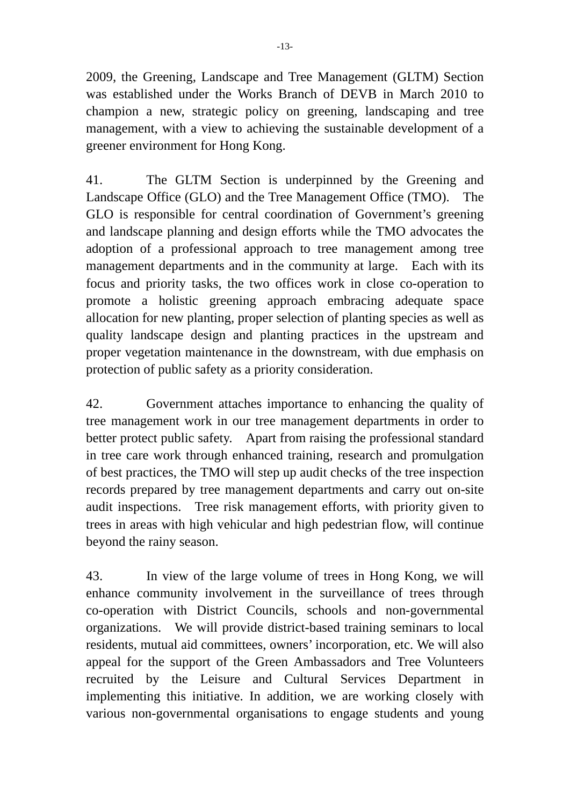2009, the Greening, Landscape and Tree Management (GLTM) Section was established under the Works Branch of DEVB in March 2010 to champion a new, strategic policy on greening, landscaping and tree management, with a view to achieving the sustainable development of a greener environment for Hong Kong.

41. The GLTM Section is underpinned by the Greening and Landscape Office (GLO) and the Tree Management Office (TMO). The GLO is responsible for central coordination of Government's greening and landscape planning and design efforts while the TMO advocates the adoption of a professional approach to tree management among tree management departments and in the community at large. Each with its focus and priority tasks, the two offices work in close co-operation to promote a holistic greening approach embracing adequate space allocation for new planting, proper selection of planting species as well as quality landscape design and planting practices in the upstream and proper vegetation maintenance in the downstream, with due emphasis on protection of public safety as a priority consideration.

42. Government attaches importance to enhancing the quality of tree management work in our tree management departments in order to better protect public safety. Apart from raising the professional standard in tree care work through enhanced training, research and promulgation of best practices, the TMO will step up audit checks of the tree inspection records prepared by tree management departments and carry out on-site audit inspections. Tree risk management efforts, with priority given to trees in areas with high vehicular and high pedestrian flow, will continue beyond the rainy season.

43. In view of the large volume of trees in Hong Kong, we will enhance community involvement in the surveillance of trees through co-operation with District Councils, schools and non-governmental organizations. We will provide district-based training seminars to local residents, mutual aid committees, owners' incorporation, etc. We will also appeal for the support of the Green Ambassadors and Tree Volunteers recruited by the Leisure and Cultural Services Department in implementing this initiative. In addition, we are working closely with various non-governmental organisations to engage students and young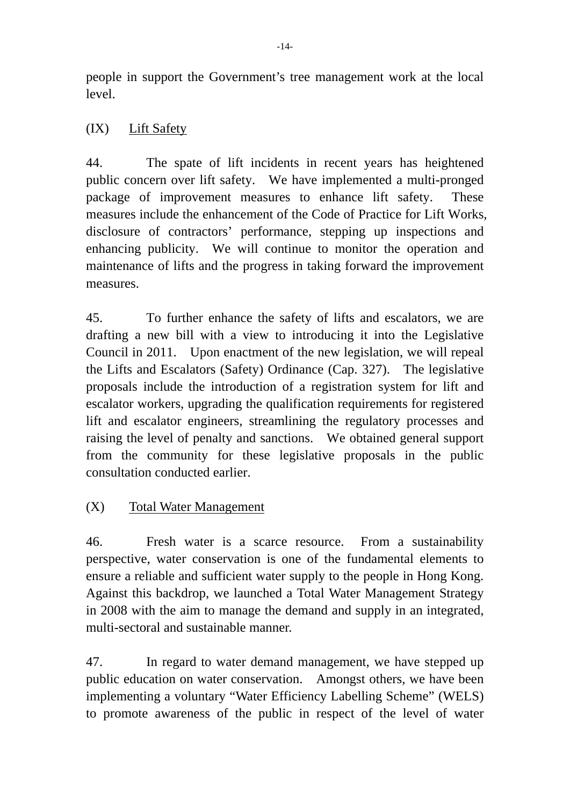people in support the Government's tree management work at the local level.

## (IX) Lift Safety

44. The spate of lift incidents in recent years has heightened public concern over lift safety. We have implemented a multi-pronged package of improvement measures to enhance lift safety. These measures include the enhancement of the Code of Practice for Lift Works, disclosure of contractors' performance, stepping up inspections and enhancing publicity. We will continue to monitor the operation and maintenance of lifts and the progress in taking forward the improvement measures.

45. To further enhance the safety of lifts and escalators, we are drafting a new bill with a view to introducing it into the Legislative Council in 2011. Upon enactment of the new legislation, we will repeal the Lifts and Escalators (Safety) Ordinance (Cap. 327). The legislative proposals include the introduction of a registration system for lift and escalator workers, upgrading the qualification requirements for registered lift and escalator engineers, streamlining the regulatory processes and raising the level of penalty and sanctions. We obtained general support from the community for these legislative proposals in the public consultation conducted earlier.

# (X) Total Water Management

46. Fresh water is a scarce resource. From a sustainability perspective, water conservation is one of the fundamental elements to ensure a reliable and sufficient water supply to the people in Hong Kong. Against this backdrop, we launched a Total Water Management Strategy in 2008 with the aim to manage the demand and supply in an integrated, multi-sectoral and sustainable manner.

47. In regard to water demand management, we have stepped up public education on water conservation. Amongst others, we have been implementing a voluntary "Water Efficiency Labelling Scheme" (WELS) to promote awareness of the public in respect of the level of water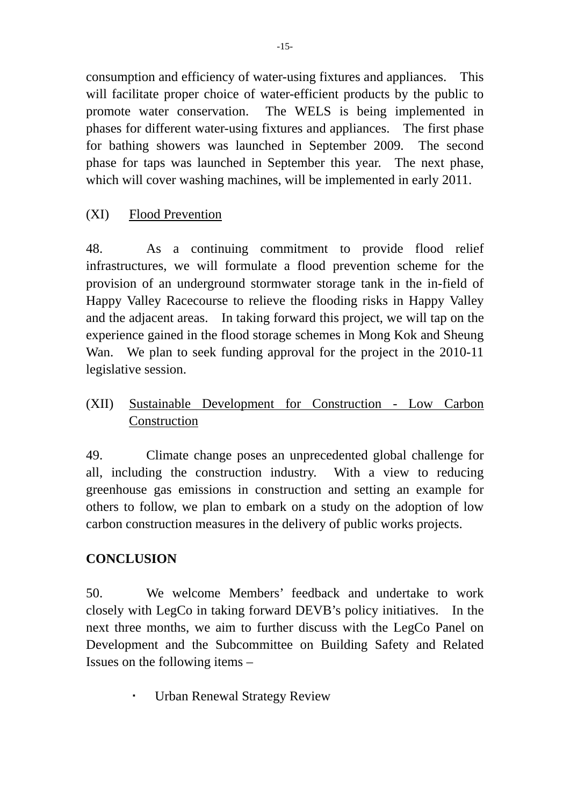consumption and efficiency of water-using fixtures and appliances. This will facilitate proper choice of water-efficient products by the public to promote water conservation. The WELS is being implemented in phases for different water-using fixtures and appliances. The first phase for bathing showers was launched in September 2009. The second phase for taps was launched in September this year. The next phase, which will cover washing machines, will be implemented in early 2011.

## (XI) Flood Prevention

48. As a continuing commitment to provide flood relief infrastructures, we will formulate a flood prevention scheme for the provision of an underground stormwater storage tank in the in-field of Happy Valley Racecourse to relieve the flooding risks in Happy Valley and the adjacent areas. In taking forward this project, we will tap on the experience gained in the flood storage schemes in Mong Kok and Sheung Wan. We plan to seek funding approval for the project in the 2010-11 legislative session.

(XII) Sustainable Development for Construction - Low Carbon Construction

49. Climate change poses an unprecedented global challenge for all, including the construction industry. With a view to reducing greenhouse gas emissions in construction and setting an example for others to follow, we plan to embark on a study on the adoption of low carbon construction measures in the delivery of public works projects.

# **CONCLUSION**

50. We welcome Members' feedback and undertake to work closely with LegCo in taking forward DEVB's policy initiatives. In the next three months, we aim to further discuss with the LegCo Panel on Development and the Subcommittee on Building Safety and Related Issues on the following items –

Urban Renewal Strategy Review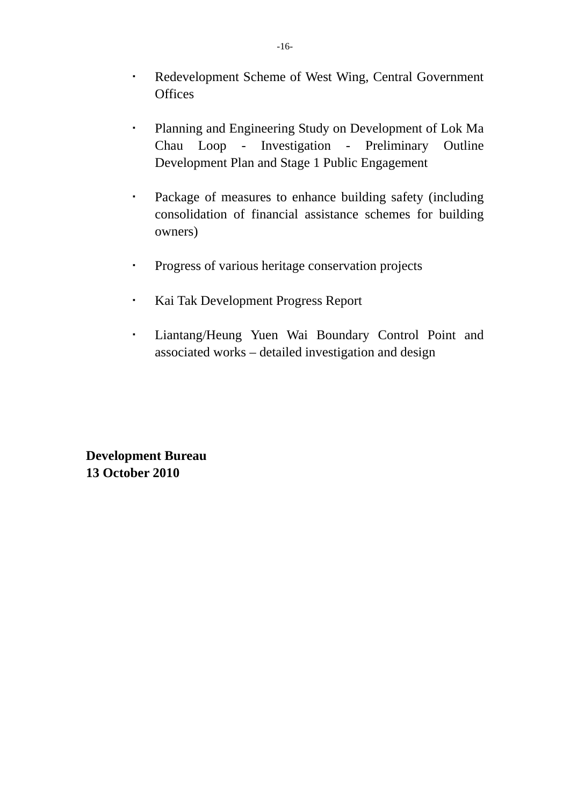- Redevelopment Scheme of West Wing, Central Government **Offices**
- Planning and Engineering Study on Development of Lok Ma Chau Loop - Investigation - Preliminary Outline Development Plan and Stage 1 Public Engagement
- Package of measures to enhance building safety (including consolidation of financial assistance schemes for building owners)
- Progress of various heritage conservation projects
- Kai Tak Development Progress Report
- Liantang/Heung Yuen Wai Boundary Control Point and associated works – detailed investigation and design

**Development Bureau 13 October 2010**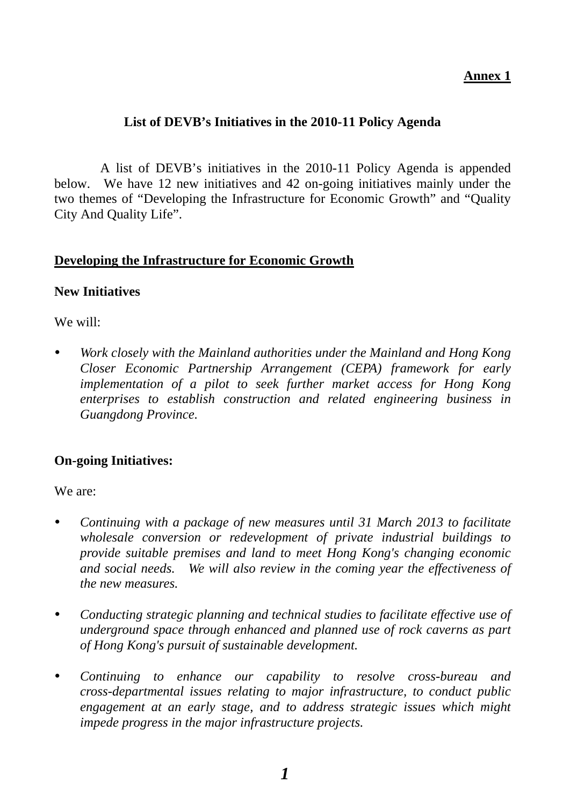### **Annex 1**

## **List of DEVB's Initiatives in the 2010-11 Policy Agenda**

 A list of DEVB's initiatives in the 2010-11 Policy Agenda is appended below. We have 12 new initiatives and 42 on-going initiatives mainly under the two themes of "Developing the Infrastructure for Economic Growth" and "Quality City And Quality Life".

### **Developing the Infrastructure for Economic Growth**

#### **New Initiatives**

We will:

 *Work closely with the Mainland authorities under the Mainland and Hong Kong Closer Economic Partnership Arrangement (CEPA) framework for early implementation of a pilot to seek further market access for Hong Kong enterprises to establish construction and related engineering business in Guangdong Province.* 

## **On-going Initiatives:**

We are:

- *Continuing with a package of new measures until 31 March 2013 to facilitate wholesale conversion or redevelopment of private industrial buildings to provide suitable premises and land to meet Hong Kong's changing economic and social needs. We will also review in the coming year the effectiveness of the new measures.*
- *Conducting strategic planning and technical studies to facilitate effective use of underground space through enhanced and planned use of rock caverns as part of Hong Kong's pursuit of sustainable development.*
- *Continuing to enhance our capability to resolve cross-bureau and cross-departmental issues relating to major infrastructure, to conduct public engagement at an early stage, and to address strategic issues which might impede progress in the major infrastructure projects.*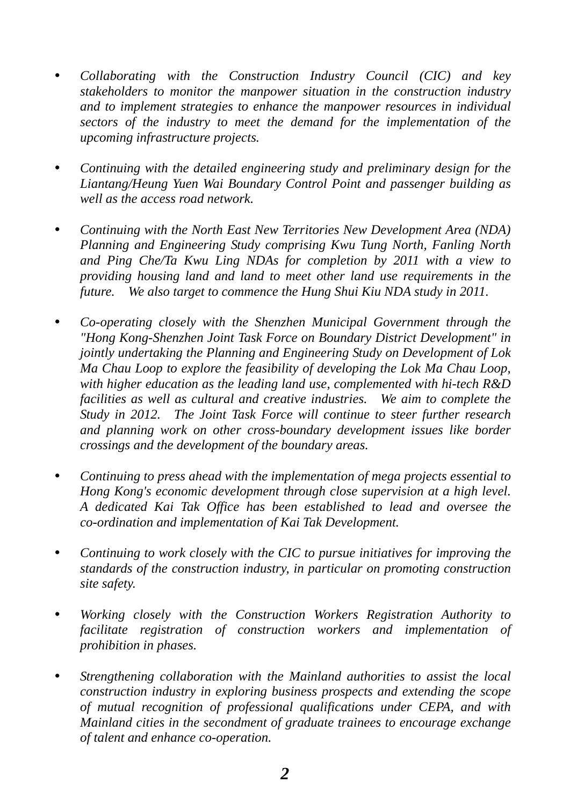- *Collaborating with the Construction Industry Council (CIC) and key stakeholders to monitor the manpower situation in the construction industry and to implement strategies to enhance the manpower resources in individual sectors of the industry to meet the demand for the implementation of the upcoming infrastructure projects.*
- *Continuing with the detailed engineering study and preliminary design for the Liantang/Heung Yuen Wai Boundary Control Point and passenger building as well as the access road network.*
- *Continuing with the North East New Territories New Development Area (NDA) Planning and Engineering Study comprising Kwu Tung North, Fanling North and Ping Che/Ta Kwu Ling NDAs for completion by 2011 with a view to providing housing land and land to meet other land use requirements in the future. We also target to commence the Hung Shui Kiu NDA study in 2011.*
- *Co-operating closely with the Shenzhen Municipal Government through the "Hong Kong-Shenzhen Joint Task Force on Boundary District Development" in jointly undertaking the Planning and Engineering Study on Development of Lok Ma Chau Loop to explore the feasibility of developing the Lok Ma Chau Loop, with higher education as the leading land use, complemented with hi-tech R&D facilities as well as cultural and creative industries. We aim to complete the Study in 2012. The Joint Task Force will continue to steer further research and planning work on other cross-boundary development issues like border crossings and the development of the boundary areas.*
- *Continuing to press ahead with the implementation of mega projects essential to Hong Kong's economic development through close supervision at a high level. A dedicated Kai Tak Office has been established to lead and oversee the co-ordination and implementation of Kai Tak Development.*
- *Continuing to work closely with the CIC to pursue initiatives for improving the standards of the construction industry, in particular on promoting construction site safety.*
- *Working closely with the Construction Workers Registration Authority to facilitate registration of construction workers and implementation of prohibition in phases.*
- *Strengthening collaboration with the Mainland authorities to assist the local construction industry in exploring business prospects and extending the scope of mutual recognition of professional qualifications under CEPA, and with Mainland cities in the secondment of graduate trainees to encourage exchange of talent and enhance co-operation.*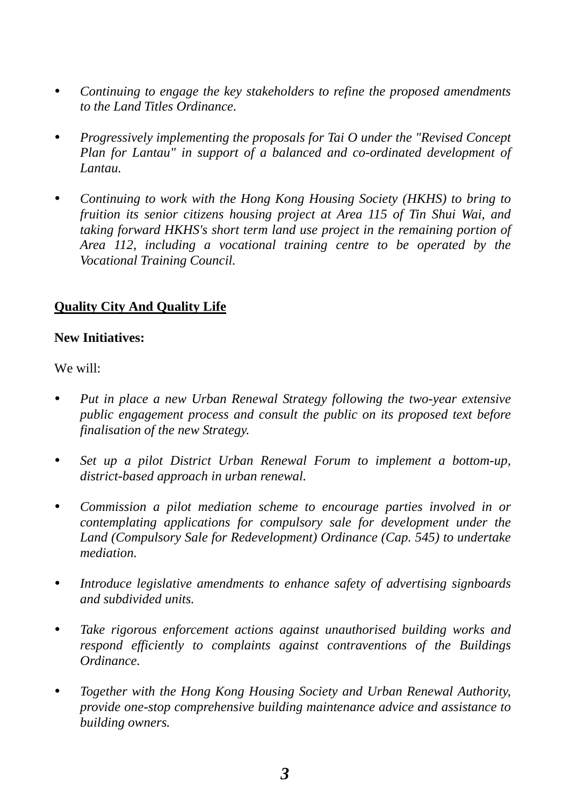- *Continuing to engage the key stakeholders to refine the proposed amendments to the Land Titles Ordinance.*
- *Progressively implementing the proposals for Tai O under the "Revised Concept Plan for Lantau" in support of a balanced and co-ordinated development of Lantau.*
- *Continuing to work with the Hong Kong Housing Society (HKHS) to bring to fruition its senior citizens housing project at Area 115 of Tin Shui Wai, and taking forward HKHS's short term land use project in the remaining portion of Area 112, including a vocational training centre to be operated by the Vocational Training Council.*

## **Quality City And Quality Life**

## **New Initiatives:**

We will:

- *Put in place a new Urban Renewal Strategy following the two-year extensive public engagement process and consult the public on its proposed text before finalisation of the new Strategy.*
- *Set up a pilot District Urban Renewal Forum to implement a bottom-up, district-based approach in urban renewal.*
- *Commission a pilot mediation scheme to encourage parties involved in or contemplating applications for compulsory sale for development under the Land (Compulsory Sale for Redevelopment) Ordinance (Cap. 545) to undertake mediation.*
- *Introduce legislative amendments to enhance safety of advertising signboards and subdivided units.*
- *Take rigorous enforcement actions against unauthorised building works and respond efficiently to complaints against contraventions of the Buildings Ordinance.*
- *Together with the Hong Kong Housing Society and Urban Renewal Authority, provide one-stop comprehensive building maintenance advice and assistance to building owners.*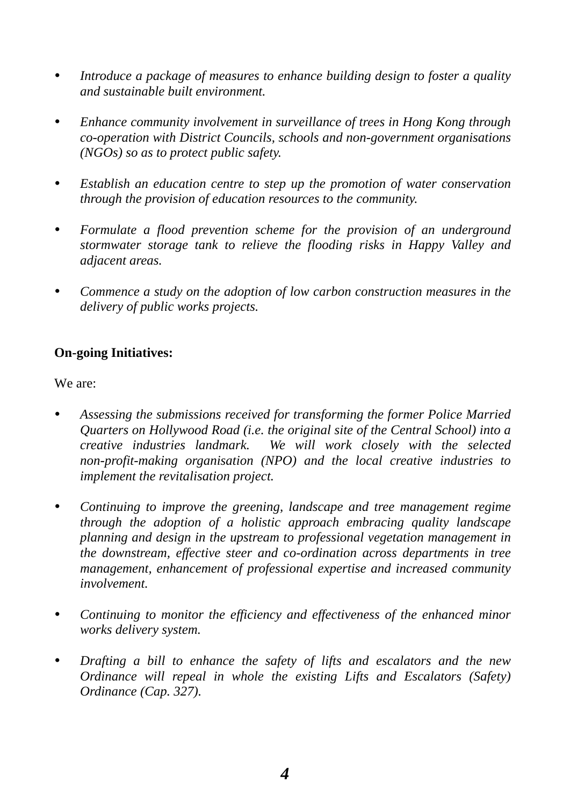- *Introduce a package of measures to enhance building design to foster a quality and sustainable built environment.*
- *Enhance community involvement in surveillance of trees in Hong Kong through co-operation with District Councils, schools and non-government organisations (NGOs) so as to protect public safety.*
- *Establish an education centre to step up the promotion of water conservation through the provision of education resources to the community.*
- *Formulate a flood prevention scheme for the provision of an underground stormwater storage tank to relieve the flooding risks in Happy Valley and adjacent areas.*
- *Commence a study on the adoption of low carbon construction measures in the delivery of public works projects.*

## **On-going Initiatives:**

We are:

- *Assessing the submissions received for transforming the former Police Married Quarters on Hollywood Road (i.e. the original site of the Central School) into a creative industries landmark. We will work closely with the selected non-profit-making organisation (NPO) and the local creative industries to implement the revitalisation project.*
- *Continuing to improve the greening, landscape and tree management regime through the adoption of a holistic approach embracing quality landscape planning and design in the upstream to professional vegetation management in the downstream, effective steer and co-ordination across departments in tree management, enhancement of professional expertise and increased community involvement.*
- *Continuing to monitor the efficiency and effectiveness of the enhanced minor works delivery system.*
- *Drafting a bill to enhance the safety of lifts and escalators and the new Ordinance will repeal in whole the existing Lifts and Escalators (Safety) Ordinance (Cap. 327).*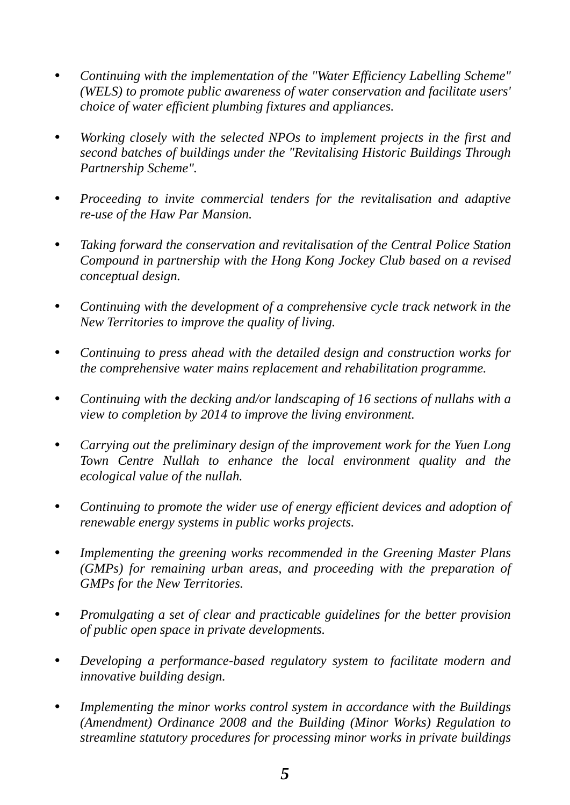- *Continuing with the implementation of the "Water Efficiency Labelling Scheme" (WELS) to promote public awareness of water conservation and facilitate users' choice of water efficient plumbing fixtures and appliances.*
- *Working closely with the selected NPOs to implement projects in the first and second batches of buildings under the "Revitalising Historic Buildings Through Partnership Scheme".*
- *Proceeding to invite commercial tenders for the revitalisation and adaptive re-use of the Haw Par Mansion.*
- *Taking forward the conservation and revitalisation of the Central Police Station Compound in partnership with the Hong Kong Jockey Club based on a revised conceptual design.*
- *Continuing with the development of a comprehensive cycle track network in the New Territories to improve the quality of living.*
- *Continuing to press ahead with the detailed design and construction works for the comprehensive water mains replacement and rehabilitation programme.*
- *Continuing with the decking and/or landscaping of 16 sections of nullahs with a view to completion by 2014 to improve the living environment.*
- *Carrying out the preliminary design of the improvement work for the Yuen Long Town Centre Nullah to enhance the local environment quality and the ecological value of the nullah.*
- *Continuing to promote the wider use of energy efficient devices and adoption of renewable energy systems in public works projects.*
- *Implementing the greening works recommended in the Greening Master Plans (GMPs) for remaining urban areas, and proceeding with the preparation of GMPs for the New Territories.*
- *Promulgating a set of clear and practicable guidelines for the better provision of public open space in private developments.*
- *Developing a performance-based regulatory system to facilitate modern and innovative building design.*
- *Implementing the minor works control system in accordance with the Buildings (Amendment) Ordinance 2008 and the Building (Minor Works) Regulation to streamline statutory procedures for processing minor works in private buildings*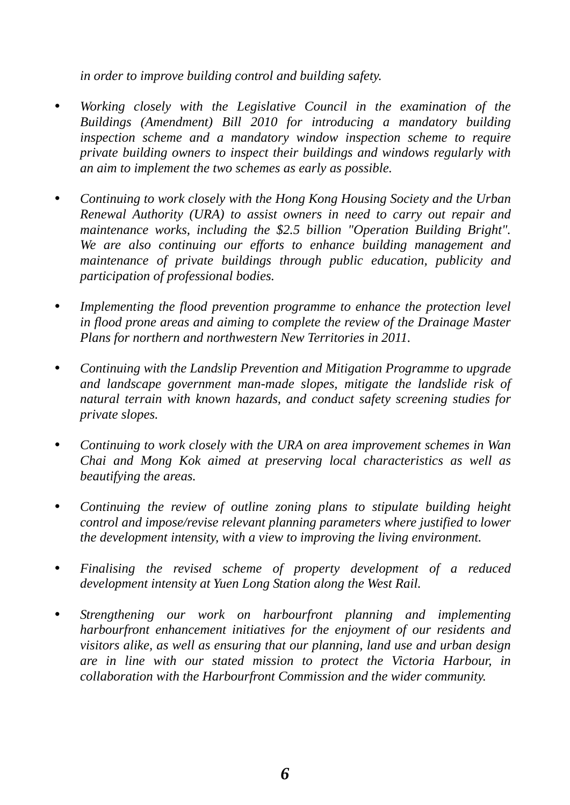*in order to improve building control and building safety.* 

- *Working closely with the Legislative Council in the examination of the Buildings (Amendment) Bill 2010 for introducing a mandatory building inspection scheme and a mandatory window inspection scheme to require private building owners to inspect their buildings and windows regularly with an aim to implement the two schemes as early as possible.*
- *Continuing to work closely with the Hong Kong Housing Society and the Urban Renewal Authority (URA) to assist owners in need to carry out repair and maintenance works, including the \$2.5 billion "Operation Building Bright". We are also continuing our efforts to enhance building management and maintenance of private buildings through public education, publicity and participation of professional bodies.*
- *Implementing the flood prevention programme to enhance the protection level in flood prone areas and aiming to complete the review of the Drainage Master Plans for northern and northwestern New Territories in 2011.*
- *Continuing with the Landslip Prevention and Mitigation Programme to upgrade and landscape government man-made slopes, mitigate the landslide risk of natural terrain with known hazards, and conduct safety screening studies for private slopes.*
- *Continuing to work closely with the URA on area improvement schemes in Wan Chai and Mong Kok aimed at preserving local characteristics as well as beautifying the areas.*
- *Continuing the review of outline zoning plans to stipulate building height control and impose/revise relevant planning parameters where justified to lower the development intensity, with a view to improving the living environment.*
- *Finalising the revised scheme of property development of a reduced development intensity at Yuen Long Station along the West Rail.*
- *Strengthening our work on harbourfront planning and implementing harbourfront enhancement initiatives for the enjoyment of our residents and visitors alike, as well as ensuring that our planning, land use and urban design are in line with our stated mission to protect the Victoria Harbour, in collaboration with the Harbourfront Commission and the wider community.*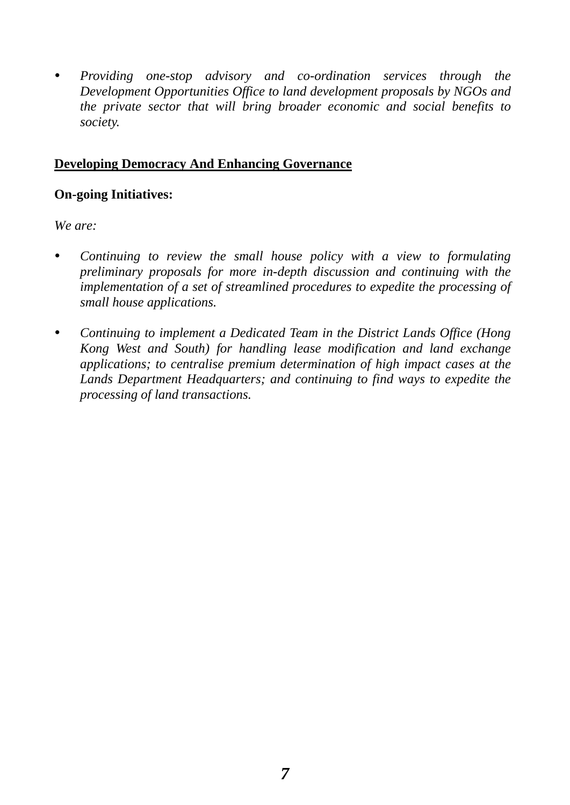*Providing one-stop advisory and co-ordination services through the Development Opportunities Office to land development proposals by NGOs and the private sector that will bring broader economic and social benefits to society.* 

## **Developing Democracy And Enhancing Governance**

### **On-going Initiatives:**

*We are:* 

- *Continuing to review the small house policy with a view to formulating preliminary proposals for more in-depth discussion and continuing with the implementation of a set of streamlined procedures to expedite the processing of small house applications.*
- *Continuing to implement a Dedicated Team in the District Lands Office (Hong Kong West and South) for handling lease modification and land exchange applications; to centralise premium determination of high impact cases at the Lands Department Headquarters; and continuing to find ways to expedite the processing of land transactions.*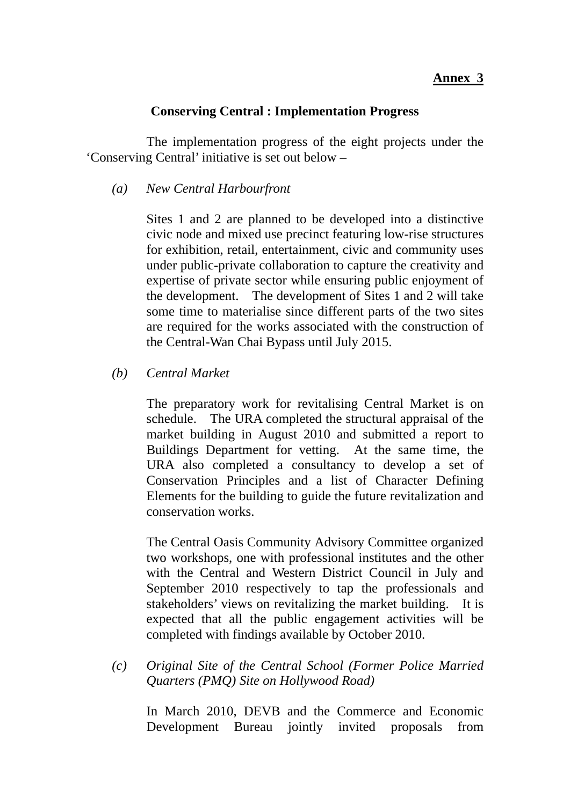### **Annex 3**

### **Conserving Central : Implementation Progress**

 The implementation progress of the eight projects under the 'Conserving Central' initiative is set out below –

*(a) New Central Harbourfront* 

Sites 1 and 2 are planned to be developed into a distinctive civic node and mixed use precinct featuring low-rise structures for exhibition, retail, entertainment, civic and community uses under public-private collaboration to capture the creativity and expertise of private sector while ensuring public enjoyment of the development. The development of Sites 1 and 2 will take some time to materialise since different parts of the two sites are required for the works associated with the construction of the Central-Wan Chai Bypass until July 2015.

*(b) Central Market* 

The preparatory work for revitalising Central Market is on schedule. The URA completed the structural appraisal of the market building in August 2010 and submitted a report to Buildings Department for vetting. At the same time, the URA also completed a consultancy to develop a set of Conservation Principles and a list of Character Defining Elements for the building to guide the future revitalization and conservation works.

The Central Oasis Community Advisory Committee organized two workshops, one with professional institutes and the other with the Central and Western District Council in July and September 2010 respectively to tap the professionals and stakeholders' views on revitalizing the market building. It is expected that all the public engagement activities will be completed with findings available by October 2010.

*(c) Original Site of the Central School (Former Police Married Quarters (PMQ) Site on Hollywood Road)* 

In March 2010, DEVB and the Commerce and Economic Development Bureau jointly invited proposals from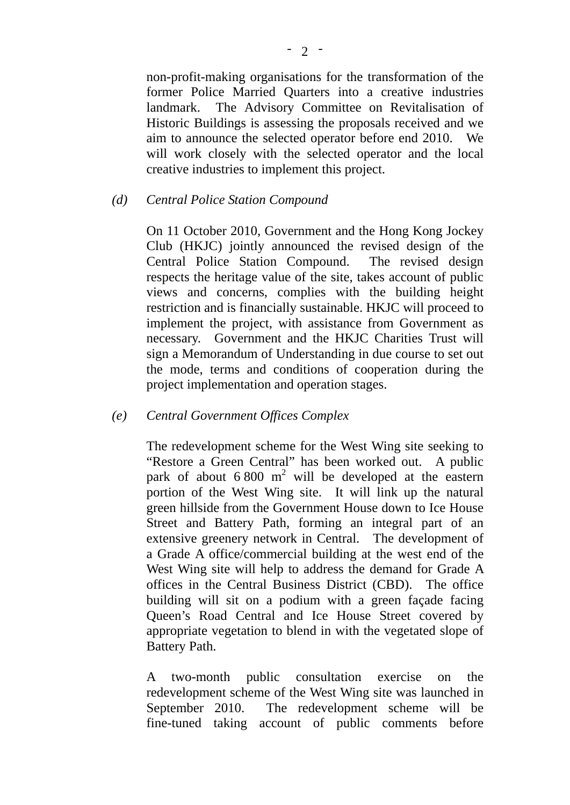non-profit-making organisations for the transformation of the former Police Married Quarters into a creative industries landmark. The Advisory Committee on Revitalisation of Historic Buildings is assessing the proposals received and we aim to announce the selected operator before end 2010. We will work closely with the selected operator and the local creative industries to implement this project.

### *(d) Central Police Station Compound*

On 11 October 2010, Government and the Hong Kong Jockey Club (HKJC) jointly announced the revised design of the Central Police Station Compound. The revised design respects the heritage value of the site, takes account of public views and concerns, complies with the building height restriction and is financially sustainable. HKJC will proceed to implement the project, with assistance from Government as necessary. Government and the HKJC Charities Trust will sign a Memorandum of Understanding in due course to set out the mode, terms and conditions of cooperation during the project implementation and operation stages.

#### *(e) Central Government Offices Complex*

The redevelopment scheme for the West Wing site seeking to "Restore a Green Central" has been worked out. A public park of about  $6800 \text{ m}^2$  will be developed at the eastern portion of the West Wing site. It will link up the natural green hillside from the Government House down to Ice House Street and Battery Path, forming an integral part of an extensive greenery network in Central. The development of a Grade A office/commercial building at the west end of the West Wing site will help to address the demand for Grade A offices in the Central Business District (CBD). The office building will sit on a podium with a green façade facing Queen's Road Central and Ice House Street covered by appropriate vegetation to blend in with the vegetated slope of Battery Path.

A two-month public consultation exercise on the redevelopment scheme of the West Wing site was launched in September 2010. The redevelopment scheme will be fine-tuned taking account of public comments before